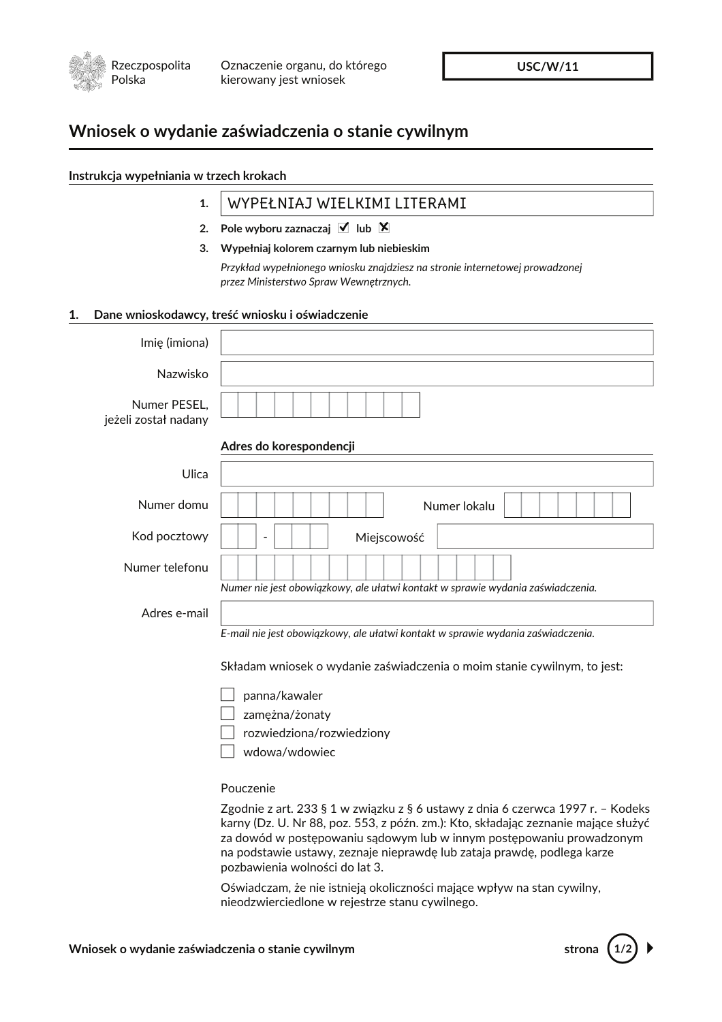

**USC/W/11** 

## Wniosek o wydanie zaświadczenia o stanie cywilnym

| Instrukcja wypełniania w trzech krokach |                                                                                                                                                            |  |
|-----------------------------------------|------------------------------------------------------------------------------------------------------------------------------------------------------------|--|
| 1.                                      | WYPEŁNIAJ WIELKIMI LITERAMI                                                                                                                                |  |
| 2.                                      | Pole wyboru zaznaczaj $\blacktriangledown$ lub $\blacktriangledown$                                                                                        |  |
| 3.                                      | Wypełniaj kolorem czarnym lub niebieskim                                                                                                                   |  |
|                                         | Przykład wypełnionego wniosku znajdziesz na stronie internetowej prowadzonej                                                                               |  |
|                                         | przez Ministerstwo Spraw Wewnętrznych.                                                                                                                     |  |
| 1.                                      | Dane wnioskodawcy, treść wniosku i oświadczenie                                                                                                            |  |
| Imię (imiona)                           |                                                                                                                                                            |  |
| Nazwisko                                |                                                                                                                                                            |  |
| Numer PESEL,<br>jeżeli został nadany    |                                                                                                                                                            |  |
|                                         | Adres do korespondencji                                                                                                                                    |  |
| Ulica                                   |                                                                                                                                                            |  |
| Numer domu                              | Numer lokalu                                                                                                                                               |  |
| Kod pocztowy                            | Miejscowość                                                                                                                                                |  |
| Numer telefonu                          |                                                                                                                                                            |  |
|                                         | Numer nie jest obowiązkowy, ale ułatwi kontakt w sprawie wydania zaświadczenia.                                                                            |  |
| Adres e-mail                            |                                                                                                                                                            |  |
|                                         | E-mail nie jest obowiązkowy, ale ułatwi kontakt w sprawie wydania zaświadczenia.                                                                           |  |
|                                         | Składam wniosek o wydanie zaświadczenia o moim stanie cywilnym, to jest:                                                                                   |  |
|                                         | panna/kawaler                                                                                                                                              |  |
|                                         | zamężna/żonaty                                                                                                                                             |  |
|                                         | rozwiedziona/rozwiedziony                                                                                                                                  |  |
|                                         | wdowa/wdowiec                                                                                                                                              |  |
|                                         | Pouczenie                                                                                                                                                  |  |
|                                         | Zgodnie z art. 233 § 1 w związku z § 6 ustawy z dnia 6 czerwca 1997 r. – Kodeks                                                                            |  |
|                                         | karny (Dz. U. Nr 88, poz. 553, z późn. zm.): Kto, składając zeznanie mające służyć<br>za dowód w postępowaniu sądowym lub w innym postępowaniu prowadzonym |  |

pozbawienia wolności do lat 3. Oświadczam, że nie istnieją okoliczności mające wpływ na stan cywilny, nieodzwierciedlone w rejestrze stanu cywilnego.

na podstawie ustawy, zeznaje nieprawdę lub zataja prawdę, podlega karze